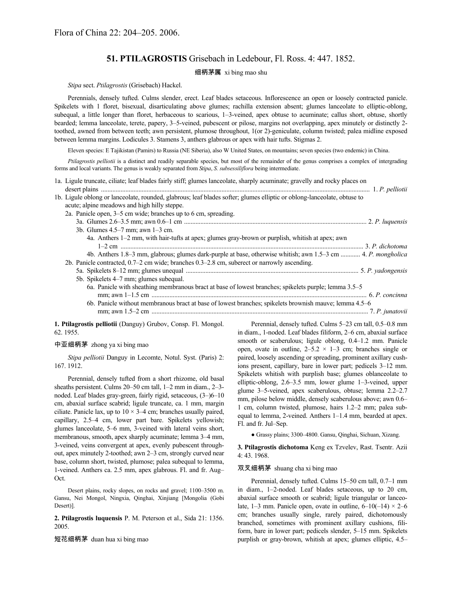# **51. PTILAGROSTIS** Grisebach in Ledebour, Fl. Ross. 4: 447. 1852.

# 细柄茅属 xi bing mao shu

### *Stipa* sect. *Ptilagrostis* (Grisebach) Hackel.

Perennials, densely tufted. Culms slender, erect. Leaf blades setaceous. Inflorescence an open or loosely contracted panicle. Spikelets with 1 floret, bisexual, disarticulating above glumes; rachilla extension absent; glumes lanceolate to elliptic-oblong, subequal, a little longer than floret, herbaceous to scarious, 1–3-veined, apex obtuse to acuminate; callus short, obtuse, shortly bearded; lemma lanceolate, terete, papery, 3–5-veined, pubescent or pilose, margins not overlapping, apex minutely or distinctly 2 toothed, awned from between teeth; awn persistent, plumose throughout, 1(or 2)-geniculate, column twisted; palea midline exposed between lemma margins. Lodicules 3. Stamens 3, anthers glabrous or apex with hair tufts. Stigmas 2.

Eleven species: E Tajikistan (Pamirs) to Russia (NE Siberia), also W United States, on mountains; seven species (two endemic) in China.

*Ptilagrostis pelliotii* is a distinct and readily separable species, but most of the remainder of the genus comprises a complex of intergrading forms and local variants. The genus is weakly separated from *Stipa*, *S. subsessiliflora* being intermediate.

| 1a. Ligule truncate, ciliate; leaf blades fairly stiff; glumes lanceolate, sharply acuminate; gravelly and rocky places on                                              |  |
|-------------------------------------------------------------------------------------------------------------------------------------------------------------------------|--|
|                                                                                                                                                                         |  |
| 1b. Ligule oblong or lanceolate, rounded, glabrous; leaf blades softer; glumes elliptic or oblong-lanceolate, obtuse to<br>acute; alpine meadows and high hilly steppe. |  |
| 2a. Panicle open, 3–5 cm wide; branches up to 6 cm, spreading.                                                                                                          |  |
|                                                                                                                                                                         |  |
| 3b. Glumes $4.5-7$ mm; awn $1-3$ cm.                                                                                                                                    |  |
| 4a. Anthers 1–2 mm, with hair-tufts at apex; glumes gray-brown or purplish, whitish at apex; awn                                                                        |  |
|                                                                                                                                                                         |  |
| 4b. Anthers 1.8–3 mm, glabrous; glumes dark-purple at base, otherwise whitish; awn 1.5–3 cm  4. P. mongholica                                                           |  |
| 2b. Panicle contracted, 0.7–2 cm wide; branches 0.3–2.8 cm, suberect or narrowly ascending.                                                                             |  |
|                                                                                                                                                                         |  |
| 5b. Spikelets 4–7 mm; glumes subequal.                                                                                                                                  |  |
| 6a. Panicle with sheathing membranous bract at base of lowest branches; spikelets purple; lemma 3.5–5                                                                   |  |
|                                                                                                                                                                         |  |
| 6b. Panicle without membranous bract at base of lowest branches; spikelets brownish mauve; lemma 4.5–6                                                                  |  |
|                                                                                                                                                                         |  |
|                                                                                                                                                                         |  |

**1. Ptilagrostis pelliotii** (Danguy) Grubov, Consp. Fl. Mongol. 62. 1955.

## 中亚细柄茅 zhong ya xi bing mao

*Stipa pelliotii* Danguy in Lecomte, Notul. Syst. (Paris) 2: 167. 1912.

Perennial, densely tufted from a short rhizome, old basal sheaths persistent. Culms 20–50 cm tall, 1–2 mm in diam., 2–3 noded. Leaf blades gray-green, fairly rigid, setaceous, (3–)6–10 cm, abaxial surface scabrid; ligule truncate, ca. 1 mm, margin ciliate. Panicle lax, up to  $10 \times 3-4$  cm; branches usually paired, capillary, 2.5–4 cm, lower part bare. Spikelets yellowish; glumes lanceolate, 5–6 mm, 3-veined with lateral veins short, membranous, smooth, apex sharply acuminate; lemma 3–4 mm, 3-veined, veins convergent at apex, evenly pubescent throughout, apex minutely 2-toothed; awn 2–3 cm, strongly curved near base, column short, twisted, plumose; palea subequal to lemma, 1-veined. Anthers ca. 2.5 mm, apex glabrous. Fl. and fr. Aug– Oct.

Desert plains, rocky slopes, on rocks and gravel; 1100–3500 m. Gansu, Nei Mongol, Ningxia, Qinghai, Xinjiang [Mongolia (Gobi Desert)].

**2. Ptilagrostis luquensis** P. M. Peterson et al., Sida 21: 1356. 2005.

短花细柄茅 duan hua xi bing mao

Perennial, densely tufted. Culms 5–23 cm tall, 0.5–0.8 mm in diam., 1-noded. Leaf blades filiform, 2–6 cm, abaxial surface smooth or scaberulous; ligule oblong, 0.4–1.2 mm. Panicle open, ovate in outline,  $2-5.2 \times 1-3$  cm; branches single or paired, loosely ascending or spreading, prominent axillary cushions present, capillary, bare in lower part; pedicels 3–12 mm. Spikelets whitish with purplish base; glumes oblanceolate to elliptic-oblong, 2.6–3.5 mm, lower glume 1–3-veined, upper glume 3–5-veined, apex scaberulous, obtuse; lemma 2.2–2.7 mm, pilose below middle, densely scaberulous above; awn 0.6– 1 cm, column twisted, plumose, hairs 1.2–2 mm; palea subequal to lemma, 2-veined. Anthers 1–1.4 mm, bearded at apex. Fl. and fr. Jul–Sep.

● Grassy plains; 3300–4800. Gansu, Qinghai, Sichuan, Xizang.

**3. Ptilagrostis dichotoma** Keng ex Tzvelev, Rast. Tsentr. Azii 4: 43. 1968.

## 双叉细柄茅 shuang cha xi bing mao

Perennial, densely tufted. Culms 15–50 cm tall, 0.7–1 mm in diam., 1–2-noded. Leaf blades setaceous, up to 20 cm, abaxial surface smooth or scabrid; ligule triangular or lanceolate, 1–3 mm. Panicle open, ovate in outline,  $6-10(-14) \times 2-6$ cm; branches usually single, rarely paired, dichotomously branched, sometimes with prominent axillary cushions, filiform, bare in lower part; pedicels slender, 5–15 mm. Spikelets purplish or gray-brown, whitish at apex; glumes elliptic, 4.5–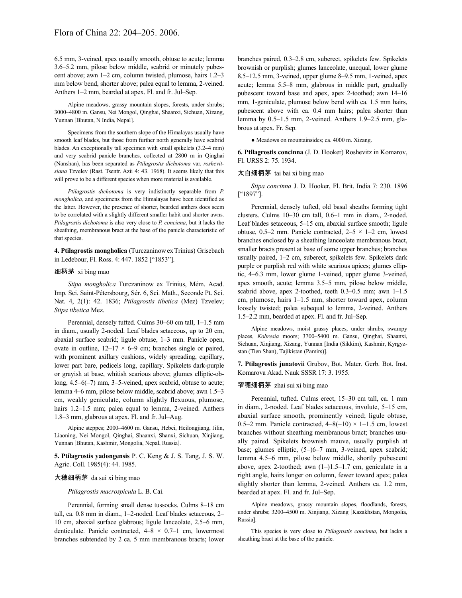6.5 mm, 3-veined, apex usually smooth, obtuse to acute; lemma 3.6–5.2 mm, pilose below middle, scabrid or minutely pubescent above; awn 1–2 cm, column twisted, plumose, hairs 1.2–3 mm below bend, shorter above; palea equal to lemma, 2-veined. Anthers 1–2 mm, bearded at apex. Fl. and fr. Jul–Sep.

Alpine meadows, grassy mountain slopes, forests, under shrubs; 3000–4800 m. Gansu, Nei Mongol, Qinghai, Shaanxi, Sichuan, Xizang, Yunnan [Bhutan, N India, Nepal].

Specimens from the southern slope of the Himalayas usually have smooth leaf blades, but those from further north generally have scabrid blades. An exceptionally tall specimen with small spikelets (3.2–4 mm) and very scabrid panicle branches, collected at 2800 m in Qinghai (Nanshan), has been separated as *Ptilagrostis dichotoma* var. *roshevitsiana* Tzvelev (Rast. Tsentr. Azii 4: 43. 1968). It seems likely that this will prove to be a different species when more material is available.

*Ptilagrostis dichotoma* is very indistinctly separable from *P. mongholica*, and specimens from the Himalayas have been identified as the latter. However, the presence of shorter, bearded anthers does seem to be correlated with a slightly different smaller habit and shorter awns. *Ptilagrostis dichotoma* is also very close to *P. concinna*, but it lacks the sheathing, membranous bract at the base of the panicle characteristic of that species.

**4. Ptilagrostis mongholica** (TurczaninowexTrinius) Grisebach in Ledebour, Fl. Ross. 4: 447. 1852 ["1853"].

#### 细柄茅 xi bing mao

*Stipa mongholica* Turczaninow ex Trinius, Mém. Acad. Imp. Sci. Saint-Pétersbourg, Sér. 6, Sci. Math., Seconde Pt. Sci. Nat. 4, 2(1): 42. 1836; *Ptilagrostis tibetica* (Mez) Tzvelev; *Stipa tibetica* Mez.

Perennial, densely tufted. Culms 30–60 cm tall, 1–1.5 mm in diam., usually 2-noded. Leaf blades setaceous, up to 20 cm, abaxial surface scabrid; ligule obtuse, 1–3 mm. Panicle open, ovate in outline,  $12-17 \times 6-9$  cm; branches single or paired, with prominent axillary cushions, widely spreading, capillary, lower part bare, pedicels long, capillary. Spikelets dark-purple or grayish at base, whitish scarious above; glumes elliptic-oblong, 4.5–6(–7) mm, 3–5-veined, apex scabrid, obtuse to acute; lemma 4–6 mm, pilose below middle, scabrid above; awn 1.5–3 cm, weakly geniculate, column slightly flexuous, plumose, hairs 1.2–1.5 mm; palea equal to lemma, 2-veined. Anthers 1.8–3 mm, glabrous at apex. Fl. and fr. Jul–Aug.

Alpine steppes; 2000–4600 m. Gansu, Hebei, Heilongjiang, Jilin, Liaoning, Nei Mongol, Qinghai, Shaanxi, Shanxi, Sichuan, Xinjiang, Yunnan [Bhutan, Kashmir, Mongolia, Nepal, Russia].

**5. Ptilagrostis yadongensis** P. C. Keng & J. S. Tang, J. S. W. Agric. Coll. 1985(4): 44. 1985.

#### 大穗细柄茅 da sui xi bing mao

*Ptilagrostis macrospicula* L. B. Cai.

Perennial, forming small dense tussocks. Culms 8–18 cm tall, ca. 0.8 mm in diam., 1–2-noded. Leaf blades setaceous, 2– 10 cm, abaxial surface glabrous; ligule lanceolate, 2.5–6 mm, denticulate. Panicle contracted,  $4-8 \times 0.7-1$  cm, lowermost branches subtended by 2 ca. 5 mm membranous bracts; lower branches paired, 0.3–2.8 cm, suberect, spikelets few. Spikelets brownish or purplish; glumes lanceolate, unequal, lower glume 8.5–12.5 mm, 3-veined, upper glume 8–9.5 mm, 1-veined, apex acute; lemma 5.5–8 mm, glabrous in middle part, gradually pubescent toward base and apex, apex 2-toothed; awn 14–16 mm, 1-geniculate, plumose below bend with ca. 1.5 mm hairs, pubescent above with ca. 0.4 mm hairs; palea shorter than lemma by 0.5–1.5 mm, 2-veined. Anthers 1.9–2.5 mm, glabrous at apex. Fr. Sep.

● Meadows on mountainsides; ca. 4000 m. Xizang.

**6. Ptilagrostis concinna** (J. D. Hooker) Roshevitz in Komarov, Fl. URSS 2: 75. 1934.

## 太白细柄茅 tai bai xi bing mao

*Stipa concinna* J. D. Hooker, Fl. Brit. India 7: 230. 1896 ["1897"].

Perennial, densely tufted, old basal sheaths forming tight clusters. Culms 10–30 cm tall, 0.6–1 mm in diam., 2-noded. Leaf blades setaceous, 5–15 cm, abaxial surface smooth; ligule obtuse, 0.5–2 mm. Panicle contracted,  $2-5 \times 1-2$  cm, lowest branches enclosed by a sheathing lanceolate membranous bract, smaller bracts present at base of some upper branches; branches usually paired, 1–2 cm, suberect, spikelets few. Spikelets dark purple or purplish red with white scarious apices; glumes elliptic, 4–6.3 mm, lower glume 1-veined, upper glume 3-veined, apex smooth, acute; lemma 3.5–5 mm, pilose below middle, scabrid above, apex 2-toothed, teeth 0.3–0.5 mm; awn 1–1.5 cm, plumose, hairs 1–1.5 mm, shorter toward apex, column loosely twisted; palea subequal to lemma, 2-veined. Anthers 1.5–2.2 mm, bearded at apex. Fl. and fr. Jul–Sep.

Alpine meadows, moist grassy places, under shrubs, swampy places, *Kobresia* moors; 3700–5400 m. Gansu, Qinghai, Shaanxi, Sichuan, Xinjiang, Xizang, Yunnan [India (Sikkim), Kashmir, Kyrgyzstan (Tien Shan), Tajikistan (Pamirs)].

**7. Ptilagrostis junatovii** Grubov, Bot. Mater. Gerb. Bot. Inst. Komarova Akad. Nauk SSSR 17: 3. 1955.

# 窄穗细柄茅 zhai sui xi bing mao

Perennial, tufted. Culms erect, 15–30 cm tall, ca. 1 mm in diam., 2-noded. Leaf blades setaceous, involute, 5–15 cm, abaxial surface smooth, prominently veined; ligule obtuse, 0.5–2 mm. Panicle contracted,  $4-8(-10) \times 1-1.5$  cm, lowest branches without sheathing membranous bract; branches usually paired. Spikelets brownish mauve, usually purplish at base; glumes elliptic, (5–)6–7 mm, 3-veined, apex scabrid; lemma 4.5–6 mm, pilose below middle, shortly pubescent above, apex 2-toothed; awn  $(1-)1.5-1.7$  cm, geniculate in a right angle, hairs longer on column, fewer toward apex; palea slightly shorter than lemma, 2-veined. Anthers ca. 1.2 mm, bearded at apex. Fl. and fr. Jul–Sep.

Alpine meadows, grassy mountain slopes, floodlands, forests, under shrubs; 3200–4500 m. Xinjiang, Xizang [Kazakhstan, Mongolia, Russia].

This species is very close to *Ptilagrostis concinna*, but lacks a sheathing bract at the base of the panicle.